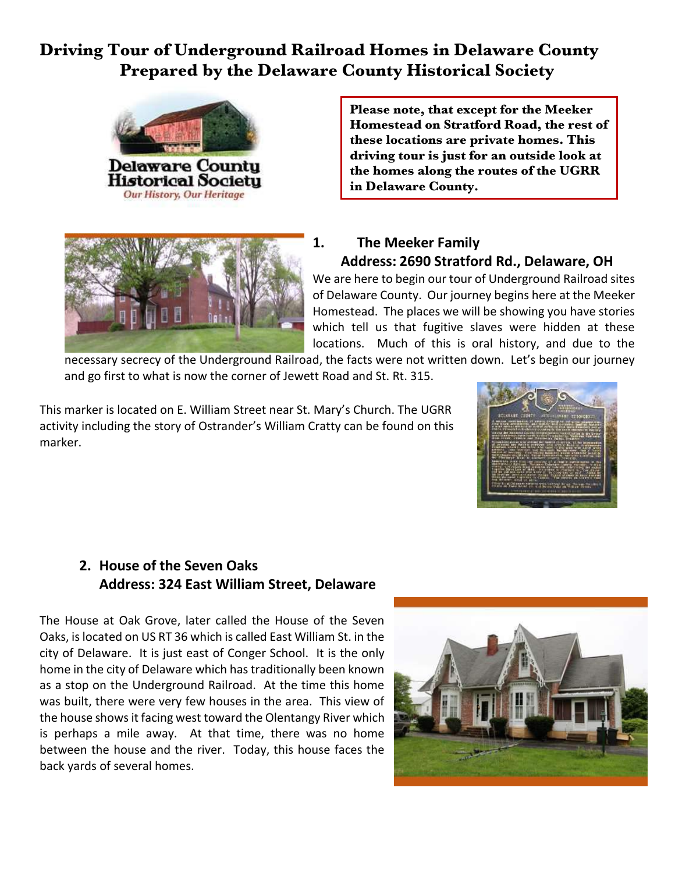## **Driving Tour of Underground Railroad Homes in Delaware County Prepared by the Delaware County Historical Society**



**Please note, that except for the Meeker Homestead on Stratford Road, the rest of these locations are private homes. This driving tour is just for an outside look at the homes along the routes of the UGRR in Delaware County.**



#### **1. The Meeker Family Address: 2690 Stratford Rd., Delaware, OH**

We are here to begin our tour of Underground Railroad sites of Delaware County. Our journey begins here at the Meeker Homestead. The places we will be showing you have stories which tell us that fugitive slaves were hidden at these locations. Much of this is oral history, and due to the

necessary secrecy of the Underground Railroad, the facts were not written down. Let's begin our journey and go first to what is now the corner of Jewett Road and St. Rt. 315.

This marker is located on E. William Street near St. Mary's Church. The UGRR activity including the story of Ostrander's William Cratty can be found on this marker.



#### **2. House of the Seven Oaks Address: 324 East William Street, Delaware**

The House at Oak Grove, later called the House of the Seven Oaks, is located on US RT 36 which is called East William St. in the city of Delaware. It is just east of Conger School. It is the only home in the city of Delaware which has traditionally been known as a stop on the Underground Railroad. At the time this home was built, there were very few houses in the area. This view of the house shows it facing west toward the Olentangy River which is perhaps a mile away. At that time, there was no home between the house and the river. Today, this house faces the back yards of several homes.

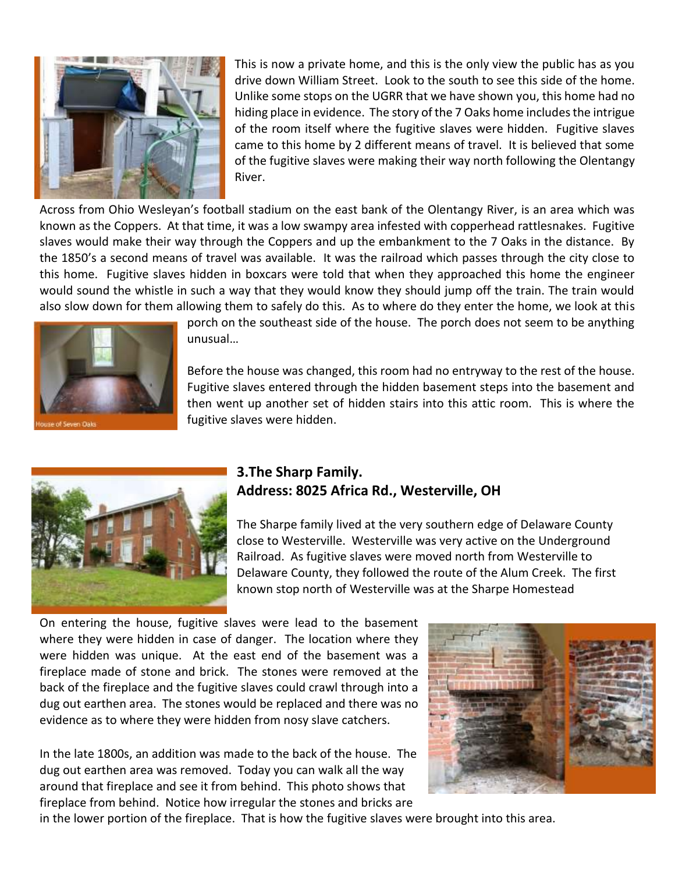

This is now a private home, and this is the only view the public has as you drive down William Street. Look to the south to see this side of the home. Unlike some stops on the UGRR that we have shown you, this home had no hiding place in evidence. The story of the 7 Oaks home includes the intrigue of the room itself where the fugitive slaves were hidden. Fugitive slaves came to this home by 2 different means of travel. It is believed that some of the fugitive slaves were making their way north following the Olentangy River.

Across from Ohio Wesleyan's football stadium on the east bank of the Olentangy River, is an area which was known as the Coppers. At that time, it was a low swampy area infested with copperhead rattlesnakes. Fugitive slaves would make their way through the Coppers and up the embankment to the 7 Oaks in the distance. By the 1850's a second means of travel was available. It was the railroad which passes through the city close to this home. Fugitive slaves hidden in boxcars were told that when they approached this home the engineer would sound the whistle in such a way that they would know they should jump off the train. The train would also slow down for them allowing them to safely do this. As to where do they enter the home, we look at this



porch on the southeast side of the house. The porch does not seem to be anything unusual…

Before the house was changed, this room had no entryway to the rest of the house. Fugitive slaves entered through the hidden basement steps into the basement and then went up another set of hidden stairs into this attic room. This is where the fugitive slaves were hidden.



#### **3.The Sharp Family. Address: 8025 Africa Rd., Westerville, OH**

The Sharpe family lived at the very southern edge of Delaware County close to Westerville. Westerville was very active on the Underground Railroad. As fugitive slaves were moved north from Westerville to Delaware County, they followed the route of the Alum Creek. The first known stop north of Westerville was at the Sharpe Homestead

On entering the house, fugitive slaves were lead to the basement where they were hidden in case of danger. The location where they were hidden was unique. At the east end of the basement was a fireplace made of stone and brick. The stones were removed at the back of the fireplace and the fugitive slaves could crawl through into a dug out earthen area. The stones would be replaced and there was no evidence as to where they were hidden from nosy slave catchers.

In the late 1800s, an addition was made to the back of the house. The dug out earthen area was removed. Today you can walk all the way around that fireplace and see it from behind. This photo shows that fireplace from behind. Notice how irregular the stones and bricks are



in the lower portion of the fireplace. That is how the fugitive slaves were brought into this area.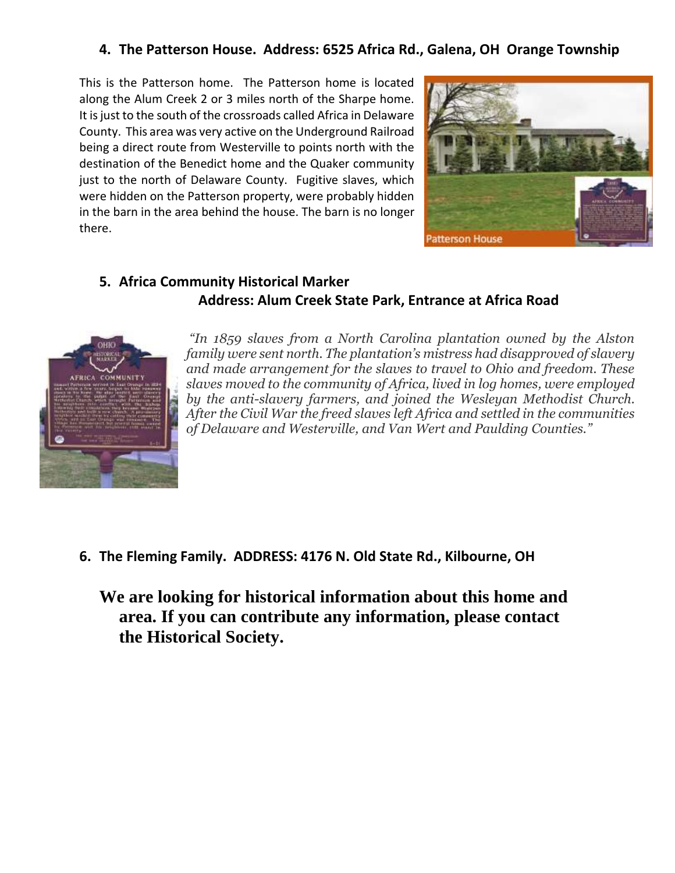#### **4. The Patterson House. Address: 6525 Africa Rd., Galena, OH Orange Township**

This is the Patterson home. The Patterson home is located along the Alum Creek 2 or 3 miles north of the Sharpe home. It is just to the south of the crossroads called Africa in Delaware County. This area was very active on the Underground Railroad being a direct route from Westerville to points north with the destination of the Benedict home and the Quaker community just to the north of Delaware County. Fugitive slaves, which were hidden on the Patterson property, were probably hidden in the barn in the area behind the house. The barn is no longer there.



#### **5. Africa Community Historical Marker Address: Alum Creek State Park, Entrance at Africa Road**



*"In 1859 slaves from a North Carolina plantation owned by the Alston family were sent north. The plantation's mistress had disapproved of slavery and made arrangement for the slaves to travel to Ohio and freedom. These slaves moved to the community of Africa, lived in log homes, were employed by the anti-slavery farmers, and joined the Wesleyan Methodist Church. After the Civil War the freed slaves left Africa and settled in the communities of Delaware and Westerville, and Van Wert and Paulding Counties."*

**6. The Fleming Family. ADDRESS: 4176 N. Old State Rd., Kilbourne, OH** 

**We are looking for historical information about this home and area. If you can contribute any information, please contact the Historical Society.**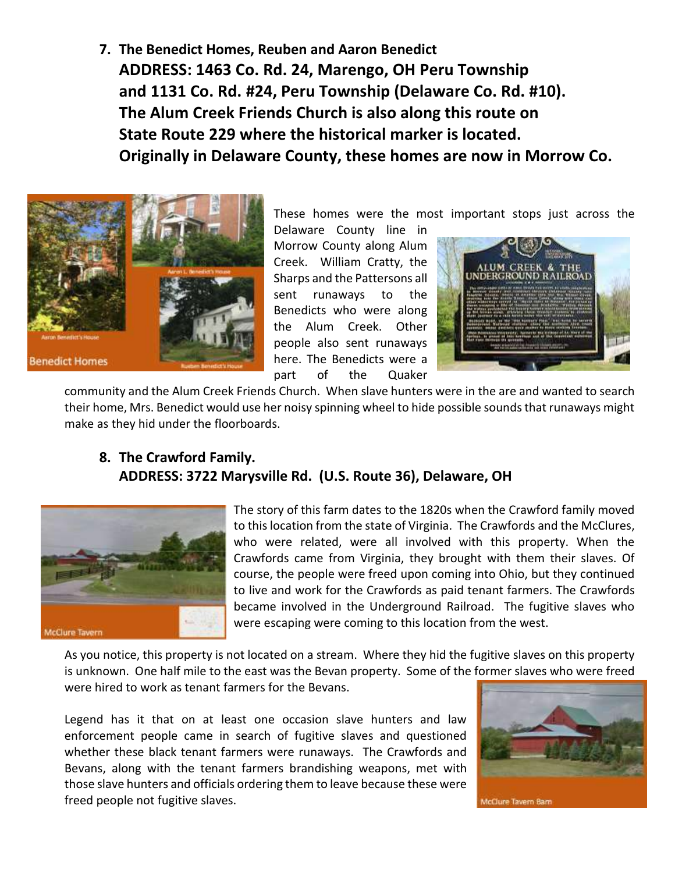**7. The Benedict Homes, Reuben and Aaron Benedict ADDRESS: 1463 Co. Rd. 24, Marengo, OH Peru Township and 1131 Co. Rd. #24, Peru Township (Delaware Co. Rd. #10). The Alum Creek Friends Church is also along this route on State Route 229 where the historical marker is located. Originally in Delaware County, these homes are now in Morrow Co.**



These homes were the most important stops just across the

Delaware County line in Morrow County along Alum Creek. William Cratty, the Sharps and the Pattersons all sent runaways to the Benedicts who were along the Alum Creek. Other people also sent runaways here. The Benedicts were a part of the Quaker



community and the Alum Creek Friends Church. When slave hunters were in the are and wanted to search their home, Mrs. Benedict would use her noisy spinning wheel to hide possible sounds that runaways might make as they hid under the floorboards.

#### **8. The Crawford Family. ADDRESS: 3722 Marysville Rd. (U.S. Route 36), Delaware, OH**



The story of this farm dates to the 1820s when the Crawford family moved to this location from the state of Virginia. The Crawfords and the McClures, who were related, were all involved with this property. When the Crawfords came from Virginia, they brought with them their slaves. Of course, the people were freed upon coming into Ohio, but they continued to live and work for the Crawfords as paid tenant farmers. The Crawfords became involved in the Underground Railroad. The fugitive slaves who were escaping were coming to this location from the west.

As you notice, this property is not located on a stream. Where they hid the fugitive slaves on this property is unknown. One half mile to the east was the Bevan property. Some of the former slaves who were freed were hired to work as tenant farmers for the Bevans.

Legend has it that on at least one occasion slave hunters and law enforcement people came in search of fugitive slaves and questioned whether these black tenant farmers were runaways. The Crawfords and Bevans, along with the tenant farmers brandishing weapons, met with those slave hunters and officials ordering them to leave because these were freed people not fugitive slaves.

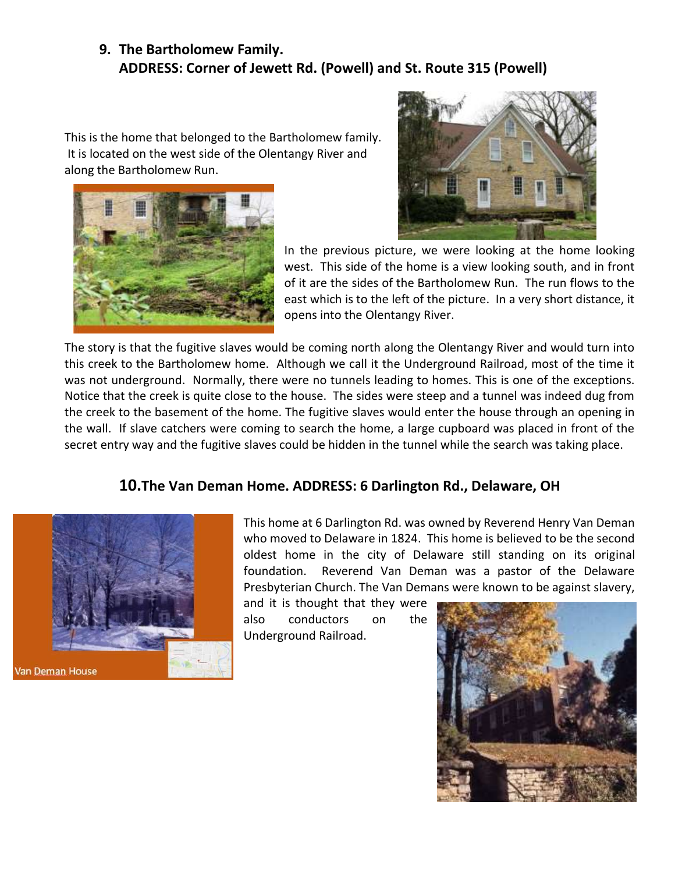#### **9. The Bartholomew Family. ADDRESS: Corner of Jewett Rd. (Powell) and St. Route 315 (Powell)**

This is the home that belonged to the Bartholomew family. It is located on the west side of the Olentangy River and along the Bartholomew Run.





In the previous picture, we were looking at the home looking west. This side of the home is a view looking south, and in front of it are the sides of the Bartholomew Run. The run flows to the east which is to the left of the picture. In a very short distance, it opens into the Olentangy River.

The story is that the fugitive slaves would be coming north along the Olentangy River and would turn into this creek to the Bartholomew home. Although we call it the Underground Railroad, most of the time it was not underground. Normally, there were no tunnels leading to homes. This is one of the exceptions. Notice that the creek is quite close to the house. The sides were steep and a tunnel was indeed dug from the creek to the basement of the home. The fugitive slaves would enter the house through an opening in the wall. If slave catchers were coming to search the home, a large cupboard was placed in front of the secret entry way and the fugitive slaves could be hidden in the tunnel while the search was taking place.

#### **10.The Van Deman Home. ADDRESS: 6 Darlington Rd., Delaware, OH**



This home at 6 Darlington Rd. was owned by Reverend Henry Van Deman who moved to Delaware in 1824. This home is believed to be the second oldest home in the city of Delaware still standing on its original foundation. Reverend Van Deman was a pastor of the Delaware Presbyterian Church. The Van Demans were known to be against slavery,

and it is thought that they were also conductors on the Underground Railroad.

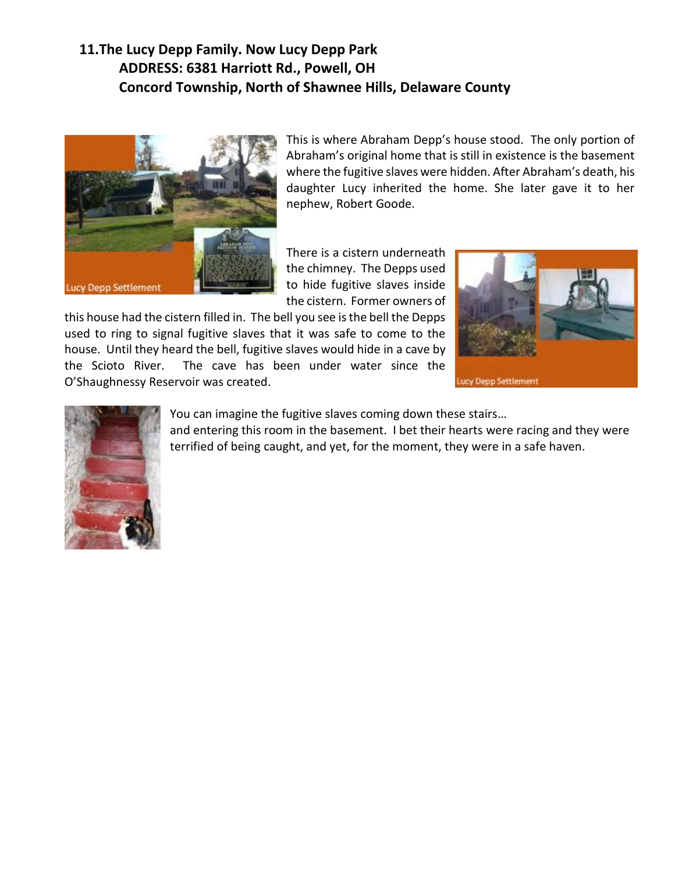### **11.The Lucy Depp Family. Now Lucy Depp Park ADDRESS: 6381 Harriott Rd., Powell, OH Concord Township, North of Shawnee Hills, Delaware County**



This is where Abraham Depp's house stood. The only portion of Abraham's original home that is still in existence is the basement where the fugitive slaves were hidden. After Abraham's death, his daughter Lucy inherited the home. She later gave it to her nephew, Robert Goode.

There is a cistern underneath the chimney. The Depps used to hide fugitive slaves inside the cistern. Former owners of

this house had the cistern filled in. The bell you see is the bell the Depps used to ring to signal fugitive slaves that it was safe to come to the house. Until they heard the bell, fugitive slaves would hide in a cave by the Scioto River. The cave has been under water since the O'Shaughnessy Reservoir was created.



Lucy Depp Settlement



#### You can imagine the fugitive slaves coming down these stairs…

and entering this room in the basement. I bet their hearts were racing and they were terrified of being caught, and yet, for the moment, they were in a safe haven.